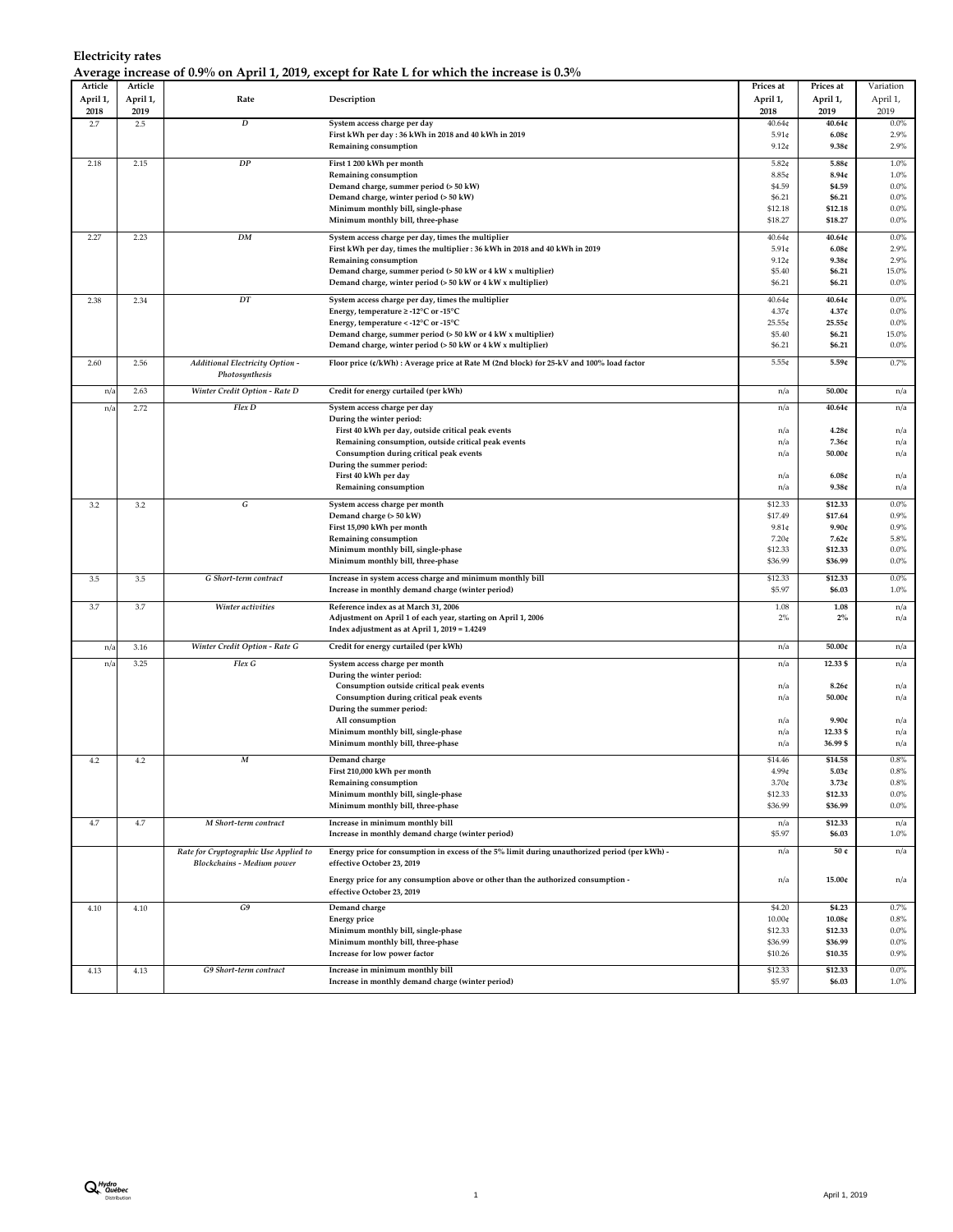| Article      | Article  |                                       |                                                                                               | Prices at         | Prices at         | Variation       |
|--------------|----------|---------------------------------------|-----------------------------------------------------------------------------------------------|-------------------|-------------------|-----------------|
| April 1,     | April 1, | Rate                                  | Description                                                                                   | April 1,          | April 1,          | April 1,        |
| 2018         | 2019     |                                       |                                                                                               | 2018              | 2019              | 2019            |
| 2.7          | 2.5      | D                                     | System access charge per day                                                                  | 40.64¢            | 40.64¢            | 0.0%            |
|              |          |                                       | First kWh per day : 36 kWh in 2018 and 40 kWh in 2019                                         | $5.91$ ¢          | 6.08c             | 2.9%            |
|              |          |                                       | Remaining consumption                                                                         | $9.12$ ¢          | 9.38c             | 2.9%            |
| 2.18         | 2.15     | ${\cal DP}$                           | First 1 200 kWh per month                                                                     | $5.82$ ¢          | 5.88¢             | 1.0%            |
|              |          |                                       | Remaining consumption                                                                         | 8.85 <sub>¢</sub> | 8.94c             | 1.0%            |
|              |          |                                       | Demand charge, summer period (> 50 kW)                                                        | \$4.59            | \$4.59            | 0.0%            |
|              |          |                                       | Demand charge, winter period (> 50 kW)                                                        | \$6.21            | \$6.21            | 0.0%            |
|              |          |                                       | Minimum monthly bill, single-phase                                                            | \$12.18           | \$12.18           | 0.0%            |
|              |          |                                       | Minimum monthly bill, three-phase                                                             | \$18.27           | \$18.27           | 0.0%            |
| 2.27         | 2.23     | DM                                    | System access charge per day, times the multiplier                                            | 40.64¢            | 40.64¢            | 0.0%            |
|              |          |                                       | First kWh per day, times the multiplier : 36 kWh in 2018 and 40 kWh in 2019                   | $5.91$ ¢          | 6.08c             | 2.9%            |
|              |          |                                       | Remaining consumption                                                                         | $9.12$ ¢          | 9.38c             | 2.9%            |
|              |          |                                       | Demand charge, summer period (> 50 kW or 4 kW x multiplier)                                   | \$5.40            | \$6.21            | 15.0%           |
|              |          |                                       | Demand charge, winter period (> 50 kW or 4 kW x multiplier)                                   | \$6.21            | \$6.21            | 0.0%            |
|              |          |                                       |                                                                                               |                   |                   |                 |
| 2.38         | 2.34     | DT                                    | System access charge per day, times the multiplier                                            | 40.64¢            | 40.64¢            | 0.0%            |
|              |          |                                       | Energy, temperature ≥ -12°C or -15°C                                                          | 4.37 <sub>¢</sub> | 4.37c             | 0.0%            |
|              |          |                                       | Energy, temperature < - 12°C or -15°C                                                         | 25.55¢            | 25.55c            | 0.0%            |
|              |          |                                       | Demand charge, summer period (> 50 kW or 4 kW x multiplier)                                   | \$5.40            | \$6.21            | 15.0%           |
|              |          |                                       | Demand charge, winter period (> 50 kW or 4 kW x multiplier)                                   | \$6.21            | \$6.21            | $0.0\%$         |
| 2.60         | 2.56     | Additional Electricity Option -       | Floor price (¢/kWh) : Average price at Rate M (2nd block) for 25-kV and 100% load factor      | 5.55¢             | 5.59c             | 0.7%            |
|              |          | Photosynthesis                        |                                                                                               |                   |                   |                 |
| n/a          | 2.63     | Winter Credit Option - Rate D         | Credit for energy curtailed (per kWh)                                                         | n/a               | 50.00c            | n/a             |
| n/a          | 2.72     | Flex D                                | System access charge per day                                                                  | n/a               | 40.64¢            | n/a             |
|              |          |                                       | During the winter period:                                                                     |                   |                   |                 |
|              |          |                                       | First 40 kWh per day, outside critical peak events                                            | n/a               | 4.28c             | n/a             |
|              |          |                                       | Remaining consumption, outside critical peak events                                           | n/a               | 7.36¢             | n/a             |
|              |          |                                       | Consumption during critical peak events                                                       | n/a               | 50.00c            | n/a             |
|              |          |                                       | During the summer period:                                                                     |                   |                   |                 |
|              |          |                                       | First 40 kWh per day                                                                          | n/a               | 6.08c             | n/a             |
|              |          |                                       | Remaining consumption                                                                         | n/a               | 9.38c             | n/a             |
| 3.2          | 3.2      | G                                     | System access charge per month                                                                | \$12.33           | \$12.33           | 0.0%            |
|              |          |                                       | Demand charge (> 50 kW)                                                                       | \$17.49           | \$17.64           | 0.9%            |
|              |          |                                       | First 15,090 kWh per month                                                                    | $9.81$ ¢          | 9.90c             | 0.9%            |
|              |          |                                       | Remaining consumption                                                                         | 7.20¢             | 7.62c             | 5.8%            |
|              |          |                                       | Minimum monthly bill, single-phase                                                            | \$12.33           | \$12.33           | 0.0%            |
|              |          |                                       | Minimum monthly bill, three-phase                                                             | \$36.99           | \$36.99           | 0.0%            |
| 3.5          | 3.5      | G Short-term contract                 | Increase in system access charge and minimum monthly bill                                     | \$12.33           | \$12.33           | 0.0%            |
|              |          |                                       | Increase in monthly demand charge (winter period)                                             | \$5.97            | \$6.03            | 1.0%            |
|              |          |                                       |                                                                                               |                   |                   |                 |
| 3.7          | 3.7      | Winter activities                     | Reference index as at March 31, 2006                                                          | 1.08              | 1.08              | n/a             |
|              |          |                                       | Adjustment on April 1 of each year, starting on April 1, 2006                                 | 2%                | 2%                | n/a             |
|              |          |                                       | Index adjustment as at April 1, 2019 = 1.4249                                                 |                   |                   |                 |
| n/a          | 3.16     | Winter Credit Option - Rate G         | Credit for energy curtailed (per kWh)                                                         | n/a               | 50.00c            | n/a             |
| $n/\epsilon$ | 3.25     | Flex G                                | System access charge per month                                                                | n/a               | 12.33 \$          | n/a             |
|              |          |                                       | During the winter period:                                                                     |                   |                   |                 |
|              |          |                                       | Consumption outside critical peak events                                                      | n/a               | 8.26c             | n/a             |
|              |          |                                       | Consumption during critical peak events                                                       | n/a               | 50.00¢            | n/a             |
|              |          |                                       | During the summer period:                                                                     |                   |                   |                 |
|              |          |                                       | All consumption                                                                               | n/a               | 9.90c             | n/a             |
|              |          |                                       | Minimum monthly bill, single-phase                                                            | n/a               | 12.33 \$          | n/a             |
|              |          |                                       | Minimum monthly bill, three-phase                                                             | n/a               | 36.99 \$          | n/a             |
| 4.2          | 4.2      | $\cal M$                              | Demand charge                                                                                 | \$14.46           | \$14.58           | 0.8%            |
|              |          |                                       | First 210,000 kWh per month                                                                   | 4.99¢             | 5.03c             | $0.8\%$         |
|              |          |                                       | Remaining consumption                                                                         | $3.70 \text{C}$   | 3.73c             | 0.8%            |
|              |          |                                       | Minimum monthly bill, single-phase                                                            | \$12.33           | \$12.33           | $0.0\%$         |
|              |          |                                       | Minimum monthly bill, three-phase                                                             | \$36.99           | \$36.99           | $0.0\%$         |
| 4.7          | $4.7\,$  | M Short-term contract                 |                                                                                               |                   | \$12.33           |                 |
|              |          |                                       | Increase in minimum monthly bill<br>Increase in monthly demand charge (winter period)         | n/a<br>\$5.97     | \$6.03            | n/a<br>1.0%     |
|              |          |                                       |                                                                                               |                   |                   |                 |
|              |          | Rate for Cryptographic Use Applied to | Energy price for consumption in excess of the 5% limit during unauthorized period (per kWh) - | n/a               | 50 ¢              | n/a             |
|              |          | <b>Blockchains - Medium power</b>     | effective October 23, 2019                                                                    |                   |                   |                 |
|              |          |                                       | Energy price for any consumption above or other than the authorized consumption -             | n/a               | 15.00c            | n/a             |
|              |          |                                       | effective October 23, 2019                                                                    |                   |                   |                 |
| 4.10         | 4.10     | G9                                    | Demand charge                                                                                 | \$4.20            | \$4.23            | 0.7%            |
|              |          |                                       | <b>Energy price</b>                                                                           | 10.00¢            | 10.08c            | 0.8%            |
|              |          |                                       | Minimum monthly bill, single-phase                                                            | \$12.33           | \$12.33           | $0.0\%$         |
|              |          |                                       | Minimum monthly bill, three-phase                                                             | \$36.99           | \$36.99           | $0.0\%$         |
|              |          |                                       | Increase for low power factor                                                                 | \$10.26           | \$10.35           | 0.9%            |
|              |          |                                       |                                                                                               |                   |                   |                 |
| 4.13         | 4.13     | G9 Short-term contract                | Increase in minimum monthly bill<br>Increase in monthly demand charge (winter period)         | \$12.33<br>\$5.97 | \$12.33<br>\$6.03 | $0.0\%$<br>1.0% |
|              |          |                                       |                                                                                               |                   |                   |                 |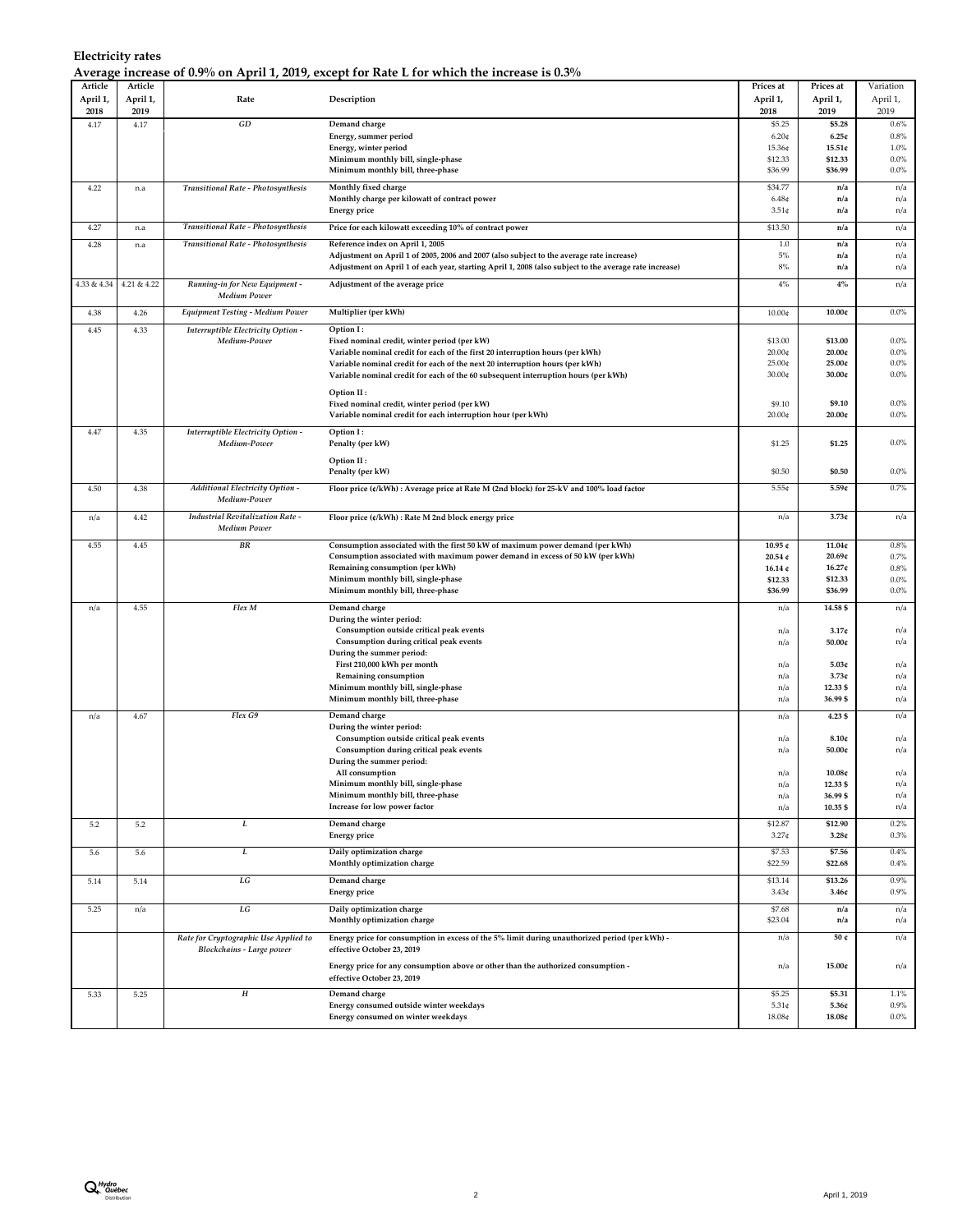| April 1,<br>April 1,<br>Rate<br>Description<br>April 1,<br>April 1,<br>2018<br>2019<br>2018<br>2019<br>$\cal GD$<br>4.17<br>4.17<br>Demand charge<br>\$5.25<br>\$5.28<br>Energy, summer period<br>$6.20$ ¢<br>6.25c<br>Energy, winter period<br>15.36¢<br>15.51c<br>\$12.33<br>Minimum monthly bill, single-phase<br>\$12.33<br>Minimum monthly bill, three-phase<br>\$36.99<br>\$36.99<br>Monthly fixed charge<br>\$34.77<br>4.22<br><b>Transitional Rate - Photosynthesis</b><br>n/a<br>n.a<br>Monthly charge per kilowatt of contract power<br>6.48 <sub>¢</sub><br>n/a<br>$3.51 \notin$<br>n/a<br><b>Energy price</b><br>Transitional Rate - Photosynthesis<br>Price for each kilowatt exceeding 10% of contract power<br>\$13.50<br>4.27<br>n/a<br>n.a<br>Transitional Rate - Photosynthesis<br>Reference index on April 1, 2005<br>$1.0\,$<br>4.28<br>n/a<br>n.a<br>Adjustment on April 1 of 2005, 2006 and 2007 (also subject to the average rate increase)<br>5%<br>n/a<br>$8\%$<br>Adjustment on April 1 of each year, starting April 1, 2008 (also subject to the average rate increase)<br>n/a<br>4.21 & 4.22<br>4%<br>$4\%$<br>4.33 & 4.34<br>Running-in for New Equipment -<br>Adjustment of the average price<br><b>Medium Power</b><br>4.26<br>Equipment Testing - Medium Power<br>Multiplier (per kWh)<br>10.00c<br>4.38<br>10.00¢<br>4.45<br>4.33<br>Interruptible Electricity Option -<br>Option I:<br>\$13.00<br>\$13.00<br>Medium-Power<br>Fixed nominal credit, winter period (per kW)<br>20.00¢<br>20.00c<br>Variable nominal credit for each of the first 20 interruption hours (per kWh)<br>25.00¢<br>25.00¢<br>Variable nominal credit for each of the next 20 interruption hours (per kWh)<br>30.00¢<br>30.00¢<br>Variable nominal credit for each of the 60 subsequent interruption hours (per kWh)<br>Option II:<br>\$9.10<br>Fixed nominal credit, winter period (per kW)<br>\$9.10<br>20.00¢<br>Variable nominal credit for each interruption hour (per kWh)<br>20.00¢<br>4.47<br>4.35<br>Interruptible Electricity Option -<br>Option I:<br>Medium-Power<br>Penalty (per kW)<br>\$1.25<br>\$1.25<br>Option II:<br>\$0.50<br>\$0.50<br>Penalty (per kW)<br><b>Additional Electricity Option -</b><br>Floor price (¢/kWh) : Average price at Rate M (2nd block) for 25-kV and 100% load factor<br>5.55¢<br>5.59c<br>4.50<br>4.38<br>Medium-Power<br><b>Industrial Revitalization Rate -</b><br>4.42<br>3.73c<br>Floor price (¢/kWh) : Rate M 2nd block energy price<br>n/a<br>n/a<br>Medium Power<br>$_{\it BR}$<br>Consumption associated with the first 50 kW of maximum power demand (per kWh)<br>11.04¢<br>4.55<br>4.45<br>10.95 ¢<br>Consumption associated with maximum power demand in excess of 50 kW (per kWh)<br>20.54 $c$<br>20.69c<br>Remaining consumption (per kWh)<br>16.14 $c$<br>16.27c<br>Minimum monthly bill, single-phase<br>\$12.33<br>\$12.33<br>Minimum monthly bill, three-phase<br>\$36.99<br>\$36.99<br>Flex M<br>4.55<br>Demand charge<br>14.58 \$<br>n/a<br>n/a<br>During the winter period:<br>Consumption outside critical peak events<br>3.17c<br>n/a<br>Consumption during critical peak events<br>50.00c<br>n/a<br>During the summer period:<br>First 210,000 kWh per month<br>5.03c<br>n/a<br>Remaining consumption<br>n/a<br>3.73c<br>Minimum monthly bill, single-phase<br>12.33 \$<br>n/a<br>Minimum monthly bill, three-phase<br>36.99\$<br>n/a<br>Flex G9<br>4.23\$<br>4.67<br>Demand charge<br>n/a<br>n/a<br>During the winter period:<br>8.10c<br>Consumption outside critical peak events<br>n/a<br>Consumption during critical peak events<br>50.00c<br>n/a<br>During the summer period:<br>All consumption<br>10.08¢<br>n/a<br>Minimum monthly bill, single-phase<br>12.33 \$<br>n/a<br>Minimum monthly bill, three-phase<br>n/a<br>36.99 \$<br>10.35 \$<br>Increase for low power factor<br>n/a<br>L<br>Demand charge<br>\$12.87<br>\$12.90<br>5.2<br>5.2<br><b>Energy price</b><br>3.27 <sub>¢</sub><br>3.28c<br>L<br>Daily optimization charge<br>\$7.53<br>\$7.56<br>5.6<br>5.6<br>Monthly optimization charge<br>\$22.59<br>\$22.68<br>$\cal{L}G$<br>5.14<br>Demand charge<br>\$13.14<br>\$13.26<br>5.14<br><b>Energy price</b><br>3.43 <sub>¢</sub><br>3.46c<br>$\cal{L}G$<br>Daily optimization charge<br>\$7.68<br>5.25<br>n/a<br>n/a<br>Monthly optimization charge<br>\$23.04<br>n/a<br>Energy price for consumption in excess of the 5% limit during unauthorized period (per kWh) -<br>Rate for Cryptographic Use Applied to<br>50 ¢<br>n/a<br>Blockchains - Large power<br>effective October 23, 2019<br>Energy price for any consumption above or other than the authorized consumption -<br>n/a<br>15.00¢<br>effective October 23, 2019<br>$\boldsymbol{H}$<br>Demand charge<br>\$5.25<br>\$5.31<br>5.33<br>5.25<br>Energy consumed outside winter weekdays<br>$5.31$ ¢<br>5.36¢<br>Energy consumed on winter weekdays<br>18.08¢<br>18.08c | Article | Article | $-1$ $-1$ $-1$ $-1$ $-1$ $-1$ | Prices at | Prices at | Variation    |
|-------------------------------------------------------------------------------------------------------------------------------------------------------------------------------------------------------------------------------------------------------------------------------------------------------------------------------------------------------------------------------------------------------------------------------------------------------------------------------------------------------------------------------------------------------------------------------------------------------------------------------------------------------------------------------------------------------------------------------------------------------------------------------------------------------------------------------------------------------------------------------------------------------------------------------------------------------------------------------------------------------------------------------------------------------------------------------------------------------------------------------------------------------------------------------------------------------------------------------------------------------------------------------------------------------------------------------------------------------------------------------------------------------------------------------------------------------------------------------------------------------------------------------------------------------------------------------------------------------------------------------------------------------------------------------------------------------------------------------------------------------------------------------------------------------------------------------------------------------------------------------------------------------------------------------------------------------------------------------------------------------------------------------------------------------------------------------------------------------------------------------------------------------------------------------------------------------------------------------------------------------------------------------------------------------------------------------------------------------------------------------------------------------------------------------------------------------------------------------------------------------------------------------------------------------------------------------------------------------------------------------------------------------------------------------------------------------------------------------------------------------------------------------------------------------------------------------------------------------------------------------------------------------------------------------------------------------------------------------------------------------------------------------------------------------------------------------------------------------------------------------------------------------------------------------------------------------------------------------------------------------------------------------------------------------------------------------------------------------------------------------------------------------------------------------------------------------------------------------------------------------------------------------------------------------------------------------------------------------------------------------------------------------------------------------------------------------------------------------------------------------------------------------------------------------------------------------------------------------------------------------------------------------------------------------------------------------------------------------------------------------------------------------------------------------------------------------------------------------------------------------------------------------------------------------------------------------------------------------------------------------------------------------------------------------------------------------------------------------------------------------------------------------------------------------------------------------------------------------------------------------------------------------------------------------------------------------------------------------------------------------------------------------------------------------------------------------------------------------------------------------------------------------------------------------------------------------------------------------------------------------------------------------------------------------------|---------|---------|-------------------------------|-----------|-----------|--------------|
|                                                                                                                                                                                                                                                                                                                                                                                                                                                                                                                                                                                                                                                                                                                                                                                                                                                                                                                                                                                                                                                                                                                                                                                                                                                                                                                                                                                                                                                                                                                                                                                                                                                                                                                                                                                                                                                                                                                                                                                                                                                                                                                                                                                                                                                                                                                                                                                                                                                                                                                                                                                                                                                                                                                                                                                                                                                                                                                                                                                                                                                                                                                                                                                                                                                                                                                                                                                                                                                                                                                                                                                                                                                                                                                                                                                                                                                                                                                                                                                                                                                                                                                                                                                                                                                                                                                                                                                                                                                                                                                                                                                                                                                                                                                                                                                                                                                                                                                                     |         |         |                               |           |           | April 1,     |
|                                                                                                                                                                                                                                                                                                                                                                                                                                                                                                                                                                                                                                                                                                                                                                                                                                                                                                                                                                                                                                                                                                                                                                                                                                                                                                                                                                                                                                                                                                                                                                                                                                                                                                                                                                                                                                                                                                                                                                                                                                                                                                                                                                                                                                                                                                                                                                                                                                                                                                                                                                                                                                                                                                                                                                                                                                                                                                                                                                                                                                                                                                                                                                                                                                                                                                                                                                                                                                                                                                                                                                                                                                                                                                                                                                                                                                                                                                                                                                                                                                                                                                                                                                                                                                                                                                                                                                                                                                                                                                                                                                                                                                                                                                                                                                                                                                                                                                                                     |         |         |                               |           |           | 2019         |
|                                                                                                                                                                                                                                                                                                                                                                                                                                                                                                                                                                                                                                                                                                                                                                                                                                                                                                                                                                                                                                                                                                                                                                                                                                                                                                                                                                                                                                                                                                                                                                                                                                                                                                                                                                                                                                                                                                                                                                                                                                                                                                                                                                                                                                                                                                                                                                                                                                                                                                                                                                                                                                                                                                                                                                                                                                                                                                                                                                                                                                                                                                                                                                                                                                                                                                                                                                                                                                                                                                                                                                                                                                                                                                                                                                                                                                                                                                                                                                                                                                                                                                                                                                                                                                                                                                                                                                                                                                                                                                                                                                                                                                                                                                                                                                                                                                                                                                                                     |         |         |                               |           |           | 0.6%         |
|                                                                                                                                                                                                                                                                                                                                                                                                                                                                                                                                                                                                                                                                                                                                                                                                                                                                                                                                                                                                                                                                                                                                                                                                                                                                                                                                                                                                                                                                                                                                                                                                                                                                                                                                                                                                                                                                                                                                                                                                                                                                                                                                                                                                                                                                                                                                                                                                                                                                                                                                                                                                                                                                                                                                                                                                                                                                                                                                                                                                                                                                                                                                                                                                                                                                                                                                                                                                                                                                                                                                                                                                                                                                                                                                                                                                                                                                                                                                                                                                                                                                                                                                                                                                                                                                                                                                                                                                                                                                                                                                                                                                                                                                                                                                                                                                                                                                                                                                     |         |         |                               |           |           | 0.8%<br>1.0% |
|                                                                                                                                                                                                                                                                                                                                                                                                                                                                                                                                                                                                                                                                                                                                                                                                                                                                                                                                                                                                                                                                                                                                                                                                                                                                                                                                                                                                                                                                                                                                                                                                                                                                                                                                                                                                                                                                                                                                                                                                                                                                                                                                                                                                                                                                                                                                                                                                                                                                                                                                                                                                                                                                                                                                                                                                                                                                                                                                                                                                                                                                                                                                                                                                                                                                                                                                                                                                                                                                                                                                                                                                                                                                                                                                                                                                                                                                                                                                                                                                                                                                                                                                                                                                                                                                                                                                                                                                                                                                                                                                                                                                                                                                                                                                                                                                                                                                                                                                     |         |         |                               |           |           | 0.0%         |
|                                                                                                                                                                                                                                                                                                                                                                                                                                                                                                                                                                                                                                                                                                                                                                                                                                                                                                                                                                                                                                                                                                                                                                                                                                                                                                                                                                                                                                                                                                                                                                                                                                                                                                                                                                                                                                                                                                                                                                                                                                                                                                                                                                                                                                                                                                                                                                                                                                                                                                                                                                                                                                                                                                                                                                                                                                                                                                                                                                                                                                                                                                                                                                                                                                                                                                                                                                                                                                                                                                                                                                                                                                                                                                                                                                                                                                                                                                                                                                                                                                                                                                                                                                                                                                                                                                                                                                                                                                                                                                                                                                                                                                                                                                                                                                                                                                                                                                                                     |         |         |                               |           |           | 0.0%         |
|                                                                                                                                                                                                                                                                                                                                                                                                                                                                                                                                                                                                                                                                                                                                                                                                                                                                                                                                                                                                                                                                                                                                                                                                                                                                                                                                                                                                                                                                                                                                                                                                                                                                                                                                                                                                                                                                                                                                                                                                                                                                                                                                                                                                                                                                                                                                                                                                                                                                                                                                                                                                                                                                                                                                                                                                                                                                                                                                                                                                                                                                                                                                                                                                                                                                                                                                                                                                                                                                                                                                                                                                                                                                                                                                                                                                                                                                                                                                                                                                                                                                                                                                                                                                                                                                                                                                                                                                                                                                                                                                                                                                                                                                                                                                                                                                                                                                                                                                     |         |         |                               |           |           | n/a          |
|                                                                                                                                                                                                                                                                                                                                                                                                                                                                                                                                                                                                                                                                                                                                                                                                                                                                                                                                                                                                                                                                                                                                                                                                                                                                                                                                                                                                                                                                                                                                                                                                                                                                                                                                                                                                                                                                                                                                                                                                                                                                                                                                                                                                                                                                                                                                                                                                                                                                                                                                                                                                                                                                                                                                                                                                                                                                                                                                                                                                                                                                                                                                                                                                                                                                                                                                                                                                                                                                                                                                                                                                                                                                                                                                                                                                                                                                                                                                                                                                                                                                                                                                                                                                                                                                                                                                                                                                                                                                                                                                                                                                                                                                                                                                                                                                                                                                                                                                     |         |         |                               |           |           | n/a          |
|                                                                                                                                                                                                                                                                                                                                                                                                                                                                                                                                                                                                                                                                                                                                                                                                                                                                                                                                                                                                                                                                                                                                                                                                                                                                                                                                                                                                                                                                                                                                                                                                                                                                                                                                                                                                                                                                                                                                                                                                                                                                                                                                                                                                                                                                                                                                                                                                                                                                                                                                                                                                                                                                                                                                                                                                                                                                                                                                                                                                                                                                                                                                                                                                                                                                                                                                                                                                                                                                                                                                                                                                                                                                                                                                                                                                                                                                                                                                                                                                                                                                                                                                                                                                                                                                                                                                                                                                                                                                                                                                                                                                                                                                                                                                                                                                                                                                                                                                     |         |         |                               |           |           | n/a          |
|                                                                                                                                                                                                                                                                                                                                                                                                                                                                                                                                                                                                                                                                                                                                                                                                                                                                                                                                                                                                                                                                                                                                                                                                                                                                                                                                                                                                                                                                                                                                                                                                                                                                                                                                                                                                                                                                                                                                                                                                                                                                                                                                                                                                                                                                                                                                                                                                                                                                                                                                                                                                                                                                                                                                                                                                                                                                                                                                                                                                                                                                                                                                                                                                                                                                                                                                                                                                                                                                                                                                                                                                                                                                                                                                                                                                                                                                                                                                                                                                                                                                                                                                                                                                                                                                                                                                                                                                                                                                                                                                                                                                                                                                                                                                                                                                                                                                                                                                     |         |         |                               |           |           | n/a          |
|                                                                                                                                                                                                                                                                                                                                                                                                                                                                                                                                                                                                                                                                                                                                                                                                                                                                                                                                                                                                                                                                                                                                                                                                                                                                                                                                                                                                                                                                                                                                                                                                                                                                                                                                                                                                                                                                                                                                                                                                                                                                                                                                                                                                                                                                                                                                                                                                                                                                                                                                                                                                                                                                                                                                                                                                                                                                                                                                                                                                                                                                                                                                                                                                                                                                                                                                                                                                                                                                                                                                                                                                                                                                                                                                                                                                                                                                                                                                                                                                                                                                                                                                                                                                                                                                                                                                                                                                                                                                                                                                                                                                                                                                                                                                                                                                                                                                                                                                     |         |         |                               |           |           |              |
|                                                                                                                                                                                                                                                                                                                                                                                                                                                                                                                                                                                                                                                                                                                                                                                                                                                                                                                                                                                                                                                                                                                                                                                                                                                                                                                                                                                                                                                                                                                                                                                                                                                                                                                                                                                                                                                                                                                                                                                                                                                                                                                                                                                                                                                                                                                                                                                                                                                                                                                                                                                                                                                                                                                                                                                                                                                                                                                                                                                                                                                                                                                                                                                                                                                                                                                                                                                                                                                                                                                                                                                                                                                                                                                                                                                                                                                                                                                                                                                                                                                                                                                                                                                                                                                                                                                                                                                                                                                                                                                                                                                                                                                                                                                                                                                                                                                                                                                                     |         |         |                               |           |           | n/a<br>n/a   |
|                                                                                                                                                                                                                                                                                                                                                                                                                                                                                                                                                                                                                                                                                                                                                                                                                                                                                                                                                                                                                                                                                                                                                                                                                                                                                                                                                                                                                                                                                                                                                                                                                                                                                                                                                                                                                                                                                                                                                                                                                                                                                                                                                                                                                                                                                                                                                                                                                                                                                                                                                                                                                                                                                                                                                                                                                                                                                                                                                                                                                                                                                                                                                                                                                                                                                                                                                                                                                                                                                                                                                                                                                                                                                                                                                                                                                                                                                                                                                                                                                                                                                                                                                                                                                                                                                                                                                                                                                                                                                                                                                                                                                                                                                                                                                                                                                                                                                                                                     |         |         |                               |           |           | n/a          |
|                                                                                                                                                                                                                                                                                                                                                                                                                                                                                                                                                                                                                                                                                                                                                                                                                                                                                                                                                                                                                                                                                                                                                                                                                                                                                                                                                                                                                                                                                                                                                                                                                                                                                                                                                                                                                                                                                                                                                                                                                                                                                                                                                                                                                                                                                                                                                                                                                                                                                                                                                                                                                                                                                                                                                                                                                                                                                                                                                                                                                                                                                                                                                                                                                                                                                                                                                                                                                                                                                                                                                                                                                                                                                                                                                                                                                                                                                                                                                                                                                                                                                                                                                                                                                                                                                                                                                                                                                                                                                                                                                                                                                                                                                                                                                                                                                                                                                                                                     |         |         |                               |           |           |              |
|                                                                                                                                                                                                                                                                                                                                                                                                                                                                                                                                                                                                                                                                                                                                                                                                                                                                                                                                                                                                                                                                                                                                                                                                                                                                                                                                                                                                                                                                                                                                                                                                                                                                                                                                                                                                                                                                                                                                                                                                                                                                                                                                                                                                                                                                                                                                                                                                                                                                                                                                                                                                                                                                                                                                                                                                                                                                                                                                                                                                                                                                                                                                                                                                                                                                                                                                                                                                                                                                                                                                                                                                                                                                                                                                                                                                                                                                                                                                                                                                                                                                                                                                                                                                                                                                                                                                                                                                                                                                                                                                                                                                                                                                                                                                                                                                                                                                                                                                     |         |         |                               |           |           | n/a          |
|                                                                                                                                                                                                                                                                                                                                                                                                                                                                                                                                                                                                                                                                                                                                                                                                                                                                                                                                                                                                                                                                                                                                                                                                                                                                                                                                                                                                                                                                                                                                                                                                                                                                                                                                                                                                                                                                                                                                                                                                                                                                                                                                                                                                                                                                                                                                                                                                                                                                                                                                                                                                                                                                                                                                                                                                                                                                                                                                                                                                                                                                                                                                                                                                                                                                                                                                                                                                                                                                                                                                                                                                                                                                                                                                                                                                                                                                                                                                                                                                                                                                                                                                                                                                                                                                                                                                                                                                                                                                                                                                                                                                                                                                                                                                                                                                                                                                                                                                     |         |         |                               |           |           | 0.0%         |
|                                                                                                                                                                                                                                                                                                                                                                                                                                                                                                                                                                                                                                                                                                                                                                                                                                                                                                                                                                                                                                                                                                                                                                                                                                                                                                                                                                                                                                                                                                                                                                                                                                                                                                                                                                                                                                                                                                                                                                                                                                                                                                                                                                                                                                                                                                                                                                                                                                                                                                                                                                                                                                                                                                                                                                                                                                                                                                                                                                                                                                                                                                                                                                                                                                                                                                                                                                                                                                                                                                                                                                                                                                                                                                                                                                                                                                                                                                                                                                                                                                                                                                                                                                                                                                                                                                                                                                                                                                                                                                                                                                                                                                                                                                                                                                                                                                                                                                                                     |         |         |                               |           |           |              |
|                                                                                                                                                                                                                                                                                                                                                                                                                                                                                                                                                                                                                                                                                                                                                                                                                                                                                                                                                                                                                                                                                                                                                                                                                                                                                                                                                                                                                                                                                                                                                                                                                                                                                                                                                                                                                                                                                                                                                                                                                                                                                                                                                                                                                                                                                                                                                                                                                                                                                                                                                                                                                                                                                                                                                                                                                                                                                                                                                                                                                                                                                                                                                                                                                                                                                                                                                                                                                                                                                                                                                                                                                                                                                                                                                                                                                                                                                                                                                                                                                                                                                                                                                                                                                                                                                                                                                                                                                                                                                                                                                                                                                                                                                                                                                                                                                                                                                                                                     |         |         |                               |           |           |              |
|                                                                                                                                                                                                                                                                                                                                                                                                                                                                                                                                                                                                                                                                                                                                                                                                                                                                                                                                                                                                                                                                                                                                                                                                                                                                                                                                                                                                                                                                                                                                                                                                                                                                                                                                                                                                                                                                                                                                                                                                                                                                                                                                                                                                                                                                                                                                                                                                                                                                                                                                                                                                                                                                                                                                                                                                                                                                                                                                                                                                                                                                                                                                                                                                                                                                                                                                                                                                                                                                                                                                                                                                                                                                                                                                                                                                                                                                                                                                                                                                                                                                                                                                                                                                                                                                                                                                                                                                                                                                                                                                                                                                                                                                                                                                                                                                                                                                                                                                     |         |         |                               |           |           | 0.0%<br>0.0% |
|                                                                                                                                                                                                                                                                                                                                                                                                                                                                                                                                                                                                                                                                                                                                                                                                                                                                                                                                                                                                                                                                                                                                                                                                                                                                                                                                                                                                                                                                                                                                                                                                                                                                                                                                                                                                                                                                                                                                                                                                                                                                                                                                                                                                                                                                                                                                                                                                                                                                                                                                                                                                                                                                                                                                                                                                                                                                                                                                                                                                                                                                                                                                                                                                                                                                                                                                                                                                                                                                                                                                                                                                                                                                                                                                                                                                                                                                                                                                                                                                                                                                                                                                                                                                                                                                                                                                                                                                                                                                                                                                                                                                                                                                                                                                                                                                                                                                                                                                     |         |         |                               |           |           | 0.0%         |
|                                                                                                                                                                                                                                                                                                                                                                                                                                                                                                                                                                                                                                                                                                                                                                                                                                                                                                                                                                                                                                                                                                                                                                                                                                                                                                                                                                                                                                                                                                                                                                                                                                                                                                                                                                                                                                                                                                                                                                                                                                                                                                                                                                                                                                                                                                                                                                                                                                                                                                                                                                                                                                                                                                                                                                                                                                                                                                                                                                                                                                                                                                                                                                                                                                                                                                                                                                                                                                                                                                                                                                                                                                                                                                                                                                                                                                                                                                                                                                                                                                                                                                                                                                                                                                                                                                                                                                                                                                                                                                                                                                                                                                                                                                                                                                                                                                                                                                                                     |         |         |                               |           |           | 0.0%         |
|                                                                                                                                                                                                                                                                                                                                                                                                                                                                                                                                                                                                                                                                                                                                                                                                                                                                                                                                                                                                                                                                                                                                                                                                                                                                                                                                                                                                                                                                                                                                                                                                                                                                                                                                                                                                                                                                                                                                                                                                                                                                                                                                                                                                                                                                                                                                                                                                                                                                                                                                                                                                                                                                                                                                                                                                                                                                                                                                                                                                                                                                                                                                                                                                                                                                                                                                                                                                                                                                                                                                                                                                                                                                                                                                                                                                                                                                                                                                                                                                                                                                                                                                                                                                                                                                                                                                                                                                                                                                                                                                                                                                                                                                                                                                                                                                                                                                                                                                     |         |         |                               |           |           |              |
|                                                                                                                                                                                                                                                                                                                                                                                                                                                                                                                                                                                                                                                                                                                                                                                                                                                                                                                                                                                                                                                                                                                                                                                                                                                                                                                                                                                                                                                                                                                                                                                                                                                                                                                                                                                                                                                                                                                                                                                                                                                                                                                                                                                                                                                                                                                                                                                                                                                                                                                                                                                                                                                                                                                                                                                                                                                                                                                                                                                                                                                                                                                                                                                                                                                                                                                                                                                                                                                                                                                                                                                                                                                                                                                                                                                                                                                                                                                                                                                                                                                                                                                                                                                                                                                                                                                                                                                                                                                                                                                                                                                                                                                                                                                                                                                                                                                                                                                                     |         |         |                               |           |           | 0.0%         |
|                                                                                                                                                                                                                                                                                                                                                                                                                                                                                                                                                                                                                                                                                                                                                                                                                                                                                                                                                                                                                                                                                                                                                                                                                                                                                                                                                                                                                                                                                                                                                                                                                                                                                                                                                                                                                                                                                                                                                                                                                                                                                                                                                                                                                                                                                                                                                                                                                                                                                                                                                                                                                                                                                                                                                                                                                                                                                                                                                                                                                                                                                                                                                                                                                                                                                                                                                                                                                                                                                                                                                                                                                                                                                                                                                                                                                                                                                                                                                                                                                                                                                                                                                                                                                                                                                                                                                                                                                                                                                                                                                                                                                                                                                                                                                                                                                                                                                                                                     |         |         |                               |           |           | 0.0%         |
|                                                                                                                                                                                                                                                                                                                                                                                                                                                                                                                                                                                                                                                                                                                                                                                                                                                                                                                                                                                                                                                                                                                                                                                                                                                                                                                                                                                                                                                                                                                                                                                                                                                                                                                                                                                                                                                                                                                                                                                                                                                                                                                                                                                                                                                                                                                                                                                                                                                                                                                                                                                                                                                                                                                                                                                                                                                                                                                                                                                                                                                                                                                                                                                                                                                                                                                                                                                                                                                                                                                                                                                                                                                                                                                                                                                                                                                                                                                                                                                                                                                                                                                                                                                                                                                                                                                                                                                                                                                                                                                                                                                                                                                                                                                                                                                                                                                                                                                                     |         |         |                               |           |           |              |
|                                                                                                                                                                                                                                                                                                                                                                                                                                                                                                                                                                                                                                                                                                                                                                                                                                                                                                                                                                                                                                                                                                                                                                                                                                                                                                                                                                                                                                                                                                                                                                                                                                                                                                                                                                                                                                                                                                                                                                                                                                                                                                                                                                                                                                                                                                                                                                                                                                                                                                                                                                                                                                                                                                                                                                                                                                                                                                                                                                                                                                                                                                                                                                                                                                                                                                                                                                                                                                                                                                                                                                                                                                                                                                                                                                                                                                                                                                                                                                                                                                                                                                                                                                                                                                                                                                                                                                                                                                                                                                                                                                                                                                                                                                                                                                                                                                                                                                                                     |         |         |                               |           |           | 0.0%         |
|                                                                                                                                                                                                                                                                                                                                                                                                                                                                                                                                                                                                                                                                                                                                                                                                                                                                                                                                                                                                                                                                                                                                                                                                                                                                                                                                                                                                                                                                                                                                                                                                                                                                                                                                                                                                                                                                                                                                                                                                                                                                                                                                                                                                                                                                                                                                                                                                                                                                                                                                                                                                                                                                                                                                                                                                                                                                                                                                                                                                                                                                                                                                                                                                                                                                                                                                                                                                                                                                                                                                                                                                                                                                                                                                                                                                                                                                                                                                                                                                                                                                                                                                                                                                                                                                                                                                                                                                                                                                                                                                                                                                                                                                                                                                                                                                                                                                                                                                     |         |         |                               |           |           |              |
|                                                                                                                                                                                                                                                                                                                                                                                                                                                                                                                                                                                                                                                                                                                                                                                                                                                                                                                                                                                                                                                                                                                                                                                                                                                                                                                                                                                                                                                                                                                                                                                                                                                                                                                                                                                                                                                                                                                                                                                                                                                                                                                                                                                                                                                                                                                                                                                                                                                                                                                                                                                                                                                                                                                                                                                                                                                                                                                                                                                                                                                                                                                                                                                                                                                                                                                                                                                                                                                                                                                                                                                                                                                                                                                                                                                                                                                                                                                                                                                                                                                                                                                                                                                                                                                                                                                                                                                                                                                                                                                                                                                                                                                                                                                                                                                                                                                                                                                                     |         |         |                               |           |           | 0.0%         |
|                                                                                                                                                                                                                                                                                                                                                                                                                                                                                                                                                                                                                                                                                                                                                                                                                                                                                                                                                                                                                                                                                                                                                                                                                                                                                                                                                                                                                                                                                                                                                                                                                                                                                                                                                                                                                                                                                                                                                                                                                                                                                                                                                                                                                                                                                                                                                                                                                                                                                                                                                                                                                                                                                                                                                                                                                                                                                                                                                                                                                                                                                                                                                                                                                                                                                                                                                                                                                                                                                                                                                                                                                                                                                                                                                                                                                                                                                                                                                                                                                                                                                                                                                                                                                                                                                                                                                                                                                                                                                                                                                                                                                                                                                                                                                                                                                                                                                                                                     |         |         |                               |           |           | 0.7%         |
|                                                                                                                                                                                                                                                                                                                                                                                                                                                                                                                                                                                                                                                                                                                                                                                                                                                                                                                                                                                                                                                                                                                                                                                                                                                                                                                                                                                                                                                                                                                                                                                                                                                                                                                                                                                                                                                                                                                                                                                                                                                                                                                                                                                                                                                                                                                                                                                                                                                                                                                                                                                                                                                                                                                                                                                                                                                                                                                                                                                                                                                                                                                                                                                                                                                                                                                                                                                                                                                                                                                                                                                                                                                                                                                                                                                                                                                                                                                                                                                                                                                                                                                                                                                                                                                                                                                                                                                                                                                                                                                                                                                                                                                                                                                                                                                                                                                                                                                                     |         |         |                               |           |           |              |
|                                                                                                                                                                                                                                                                                                                                                                                                                                                                                                                                                                                                                                                                                                                                                                                                                                                                                                                                                                                                                                                                                                                                                                                                                                                                                                                                                                                                                                                                                                                                                                                                                                                                                                                                                                                                                                                                                                                                                                                                                                                                                                                                                                                                                                                                                                                                                                                                                                                                                                                                                                                                                                                                                                                                                                                                                                                                                                                                                                                                                                                                                                                                                                                                                                                                                                                                                                                                                                                                                                                                                                                                                                                                                                                                                                                                                                                                                                                                                                                                                                                                                                                                                                                                                                                                                                                                                                                                                                                                                                                                                                                                                                                                                                                                                                                                                                                                                                                                     |         |         |                               |           |           |              |
|                                                                                                                                                                                                                                                                                                                                                                                                                                                                                                                                                                                                                                                                                                                                                                                                                                                                                                                                                                                                                                                                                                                                                                                                                                                                                                                                                                                                                                                                                                                                                                                                                                                                                                                                                                                                                                                                                                                                                                                                                                                                                                                                                                                                                                                                                                                                                                                                                                                                                                                                                                                                                                                                                                                                                                                                                                                                                                                                                                                                                                                                                                                                                                                                                                                                                                                                                                                                                                                                                                                                                                                                                                                                                                                                                                                                                                                                                                                                                                                                                                                                                                                                                                                                                                                                                                                                                                                                                                                                                                                                                                                                                                                                                                                                                                                                                                                                                                                                     |         |         |                               |           |           | n/a          |
|                                                                                                                                                                                                                                                                                                                                                                                                                                                                                                                                                                                                                                                                                                                                                                                                                                                                                                                                                                                                                                                                                                                                                                                                                                                                                                                                                                                                                                                                                                                                                                                                                                                                                                                                                                                                                                                                                                                                                                                                                                                                                                                                                                                                                                                                                                                                                                                                                                                                                                                                                                                                                                                                                                                                                                                                                                                                                                                                                                                                                                                                                                                                                                                                                                                                                                                                                                                                                                                                                                                                                                                                                                                                                                                                                                                                                                                                                                                                                                                                                                                                                                                                                                                                                                                                                                                                                                                                                                                                                                                                                                                                                                                                                                                                                                                                                                                                                                                                     |         |         |                               |           |           |              |
|                                                                                                                                                                                                                                                                                                                                                                                                                                                                                                                                                                                                                                                                                                                                                                                                                                                                                                                                                                                                                                                                                                                                                                                                                                                                                                                                                                                                                                                                                                                                                                                                                                                                                                                                                                                                                                                                                                                                                                                                                                                                                                                                                                                                                                                                                                                                                                                                                                                                                                                                                                                                                                                                                                                                                                                                                                                                                                                                                                                                                                                                                                                                                                                                                                                                                                                                                                                                                                                                                                                                                                                                                                                                                                                                                                                                                                                                                                                                                                                                                                                                                                                                                                                                                                                                                                                                                                                                                                                                                                                                                                                                                                                                                                                                                                                                                                                                                                                                     |         |         |                               |           |           | 0.8%         |
|                                                                                                                                                                                                                                                                                                                                                                                                                                                                                                                                                                                                                                                                                                                                                                                                                                                                                                                                                                                                                                                                                                                                                                                                                                                                                                                                                                                                                                                                                                                                                                                                                                                                                                                                                                                                                                                                                                                                                                                                                                                                                                                                                                                                                                                                                                                                                                                                                                                                                                                                                                                                                                                                                                                                                                                                                                                                                                                                                                                                                                                                                                                                                                                                                                                                                                                                                                                                                                                                                                                                                                                                                                                                                                                                                                                                                                                                                                                                                                                                                                                                                                                                                                                                                                                                                                                                                                                                                                                                                                                                                                                                                                                                                                                                                                                                                                                                                                                                     |         |         |                               |           |           | 0.7%<br>0.8% |
|                                                                                                                                                                                                                                                                                                                                                                                                                                                                                                                                                                                                                                                                                                                                                                                                                                                                                                                                                                                                                                                                                                                                                                                                                                                                                                                                                                                                                                                                                                                                                                                                                                                                                                                                                                                                                                                                                                                                                                                                                                                                                                                                                                                                                                                                                                                                                                                                                                                                                                                                                                                                                                                                                                                                                                                                                                                                                                                                                                                                                                                                                                                                                                                                                                                                                                                                                                                                                                                                                                                                                                                                                                                                                                                                                                                                                                                                                                                                                                                                                                                                                                                                                                                                                                                                                                                                                                                                                                                                                                                                                                                                                                                                                                                                                                                                                                                                                                                                     |         |         |                               |           |           | 0.0%         |
|                                                                                                                                                                                                                                                                                                                                                                                                                                                                                                                                                                                                                                                                                                                                                                                                                                                                                                                                                                                                                                                                                                                                                                                                                                                                                                                                                                                                                                                                                                                                                                                                                                                                                                                                                                                                                                                                                                                                                                                                                                                                                                                                                                                                                                                                                                                                                                                                                                                                                                                                                                                                                                                                                                                                                                                                                                                                                                                                                                                                                                                                                                                                                                                                                                                                                                                                                                                                                                                                                                                                                                                                                                                                                                                                                                                                                                                                                                                                                                                                                                                                                                                                                                                                                                                                                                                                                                                                                                                                                                                                                                                                                                                                                                                                                                                                                                                                                                                                     |         |         |                               |           |           | 0.0%         |
|                                                                                                                                                                                                                                                                                                                                                                                                                                                                                                                                                                                                                                                                                                                                                                                                                                                                                                                                                                                                                                                                                                                                                                                                                                                                                                                                                                                                                                                                                                                                                                                                                                                                                                                                                                                                                                                                                                                                                                                                                                                                                                                                                                                                                                                                                                                                                                                                                                                                                                                                                                                                                                                                                                                                                                                                                                                                                                                                                                                                                                                                                                                                                                                                                                                                                                                                                                                                                                                                                                                                                                                                                                                                                                                                                                                                                                                                                                                                                                                                                                                                                                                                                                                                                                                                                                                                                                                                                                                                                                                                                                                                                                                                                                                                                                                                                                                                                                                                     |         |         |                               |           |           | n/a          |
|                                                                                                                                                                                                                                                                                                                                                                                                                                                                                                                                                                                                                                                                                                                                                                                                                                                                                                                                                                                                                                                                                                                                                                                                                                                                                                                                                                                                                                                                                                                                                                                                                                                                                                                                                                                                                                                                                                                                                                                                                                                                                                                                                                                                                                                                                                                                                                                                                                                                                                                                                                                                                                                                                                                                                                                                                                                                                                                                                                                                                                                                                                                                                                                                                                                                                                                                                                                                                                                                                                                                                                                                                                                                                                                                                                                                                                                                                                                                                                                                                                                                                                                                                                                                                                                                                                                                                                                                                                                                                                                                                                                                                                                                                                                                                                                                                                                                                                                                     |         |         |                               |           |           |              |
|                                                                                                                                                                                                                                                                                                                                                                                                                                                                                                                                                                                                                                                                                                                                                                                                                                                                                                                                                                                                                                                                                                                                                                                                                                                                                                                                                                                                                                                                                                                                                                                                                                                                                                                                                                                                                                                                                                                                                                                                                                                                                                                                                                                                                                                                                                                                                                                                                                                                                                                                                                                                                                                                                                                                                                                                                                                                                                                                                                                                                                                                                                                                                                                                                                                                                                                                                                                                                                                                                                                                                                                                                                                                                                                                                                                                                                                                                                                                                                                                                                                                                                                                                                                                                                                                                                                                                                                                                                                                                                                                                                                                                                                                                                                                                                                                                                                                                                                                     |         |         |                               |           |           | n/a          |
|                                                                                                                                                                                                                                                                                                                                                                                                                                                                                                                                                                                                                                                                                                                                                                                                                                                                                                                                                                                                                                                                                                                                                                                                                                                                                                                                                                                                                                                                                                                                                                                                                                                                                                                                                                                                                                                                                                                                                                                                                                                                                                                                                                                                                                                                                                                                                                                                                                                                                                                                                                                                                                                                                                                                                                                                                                                                                                                                                                                                                                                                                                                                                                                                                                                                                                                                                                                                                                                                                                                                                                                                                                                                                                                                                                                                                                                                                                                                                                                                                                                                                                                                                                                                                                                                                                                                                                                                                                                                                                                                                                                                                                                                                                                                                                                                                                                                                                                                     |         |         |                               |           |           | n/a          |
|                                                                                                                                                                                                                                                                                                                                                                                                                                                                                                                                                                                                                                                                                                                                                                                                                                                                                                                                                                                                                                                                                                                                                                                                                                                                                                                                                                                                                                                                                                                                                                                                                                                                                                                                                                                                                                                                                                                                                                                                                                                                                                                                                                                                                                                                                                                                                                                                                                                                                                                                                                                                                                                                                                                                                                                                                                                                                                                                                                                                                                                                                                                                                                                                                                                                                                                                                                                                                                                                                                                                                                                                                                                                                                                                                                                                                                                                                                                                                                                                                                                                                                                                                                                                                                                                                                                                                                                                                                                                                                                                                                                                                                                                                                                                                                                                                                                                                                                                     |         |         |                               |           |           | n/a          |
|                                                                                                                                                                                                                                                                                                                                                                                                                                                                                                                                                                                                                                                                                                                                                                                                                                                                                                                                                                                                                                                                                                                                                                                                                                                                                                                                                                                                                                                                                                                                                                                                                                                                                                                                                                                                                                                                                                                                                                                                                                                                                                                                                                                                                                                                                                                                                                                                                                                                                                                                                                                                                                                                                                                                                                                                                                                                                                                                                                                                                                                                                                                                                                                                                                                                                                                                                                                                                                                                                                                                                                                                                                                                                                                                                                                                                                                                                                                                                                                                                                                                                                                                                                                                                                                                                                                                                                                                                                                                                                                                                                                                                                                                                                                                                                                                                                                                                                                                     |         |         |                               |           |           | n/a          |
|                                                                                                                                                                                                                                                                                                                                                                                                                                                                                                                                                                                                                                                                                                                                                                                                                                                                                                                                                                                                                                                                                                                                                                                                                                                                                                                                                                                                                                                                                                                                                                                                                                                                                                                                                                                                                                                                                                                                                                                                                                                                                                                                                                                                                                                                                                                                                                                                                                                                                                                                                                                                                                                                                                                                                                                                                                                                                                                                                                                                                                                                                                                                                                                                                                                                                                                                                                                                                                                                                                                                                                                                                                                                                                                                                                                                                                                                                                                                                                                                                                                                                                                                                                                                                                                                                                                                                                                                                                                                                                                                                                                                                                                                                                                                                                                                                                                                                                                                     |         |         |                               |           |           | n/a          |
|                                                                                                                                                                                                                                                                                                                                                                                                                                                                                                                                                                                                                                                                                                                                                                                                                                                                                                                                                                                                                                                                                                                                                                                                                                                                                                                                                                                                                                                                                                                                                                                                                                                                                                                                                                                                                                                                                                                                                                                                                                                                                                                                                                                                                                                                                                                                                                                                                                                                                                                                                                                                                                                                                                                                                                                                                                                                                                                                                                                                                                                                                                                                                                                                                                                                                                                                                                                                                                                                                                                                                                                                                                                                                                                                                                                                                                                                                                                                                                                                                                                                                                                                                                                                                                                                                                                                                                                                                                                                                                                                                                                                                                                                                                                                                                                                                                                                                                                                     |         |         |                               |           |           | n/a          |
|                                                                                                                                                                                                                                                                                                                                                                                                                                                                                                                                                                                                                                                                                                                                                                                                                                                                                                                                                                                                                                                                                                                                                                                                                                                                                                                                                                                                                                                                                                                                                                                                                                                                                                                                                                                                                                                                                                                                                                                                                                                                                                                                                                                                                                                                                                                                                                                                                                                                                                                                                                                                                                                                                                                                                                                                                                                                                                                                                                                                                                                                                                                                                                                                                                                                                                                                                                                                                                                                                                                                                                                                                                                                                                                                                                                                                                                                                                                                                                                                                                                                                                                                                                                                                                                                                                                                                                                                                                                                                                                                                                                                                                                                                                                                                                                                                                                                                                                                     |         |         |                               |           |           | n/a          |
|                                                                                                                                                                                                                                                                                                                                                                                                                                                                                                                                                                                                                                                                                                                                                                                                                                                                                                                                                                                                                                                                                                                                                                                                                                                                                                                                                                                                                                                                                                                                                                                                                                                                                                                                                                                                                                                                                                                                                                                                                                                                                                                                                                                                                                                                                                                                                                                                                                                                                                                                                                                                                                                                                                                                                                                                                                                                                                                                                                                                                                                                                                                                                                                                                                                                                                                                                                                                                                                                                                                                                                                                                                                                                                                                                                                                                                                                                                                                                                                                                                                                                                                                                                                                                                                                                                                                                                                                                                                                                                                                                                                                                                                                                                                                                                                                                                                                                                                                     |         |         |                               |           |           |              |
|                                                                                                                                                                                                                                                                                                                                                                                                                                                                                                                                                                                                                                                                                                                                                                                                                                                                                                                                                                                                                                                                                                                                                                                                                                                                                                                                                                                                                                                                                                                                                                                                                                                                                                                                                                                                                                                                                                                                                                                                                                                                                                                                                                                                                                                                                                                                                                                                                                                                                                                                                                                                                                                                                                                                                                                                                                                                                                                                                                                                                                                                                                                                                                                                                                                                                                                                                                                                                                                                                                                                                                                                                                                                                                                                                                                                                                                                                                                                                                                                                                                                                                                                                                                                                                                                                                                                                                                                                                                                                                                                                                                                                                                                                                                                                                                                                                                                                                                                     |         |         |                               |           |           | n/a          |
|                                                                                                                                                                                                                                                                                                                                                                                                                                                                                                                                                                                                                                                                                                                                                                                                                                                                                                                                                                                                                                                                                                                                                                                                                                                                                                                                                                                                                                                                                                                                                                                                                                                                                                                                                                                                                                                                                                                                                                                                                                                                                                                                                                                                                                                                                                                                                                                                                                                                                                                                                                                                                                                                                                                                                                                                                                                                                                                                                                                                                                                                                                                                                                                                                                                                                                                                                                                                                                                                                                                                                                                                                                                                                                                                                                                                                                                                                                                                                                                                                                                                                                                                                                                                                                                                                                                                                                                                                                                                                                                                                                                                                                                                                                                                                                                                                                                                                                                                     |         |         |                               |           |           | n/a          |
|                                                                                                                                                                                                                                                                                                                                                                                                                                                                                                                                                                                                                                                                                                                                                                                                                                                                                                                                                                                                                                                                                                                                                                                                                                                                                                                                                                                                                                                                                                                                                                                                                                                                                                                                                                                                                                                                                                                                                                                                                                                                                                                                                                                                                                                                                                                                                                                                                                                                                                                                                                                                                                                                                                                                                                                                                                                                                                                                                                                                                                                                                                                                                                                                                                                                                                                                                                                                                                                                                                                                                                                                                                                                                                                                                                                                                                                                                                                                                                                                                                                                                                                                                                                                                                                                                                                                                                                                                                                                                                                                                                                                                                                                                                                                                                                                                                                                                                                                     |         |         |                               |           |           | n/a          |
|                                                                                                                                                                                                                                                                                                                                                                                                                                                                                                                                                                                                                                                                                                                                                                                                                                                                                                                                                                                                                                                                                                                                                                                                                                                                                                                                                                                                                                                                                                                                                                                                                                                                                                                                                                                                                                                                                                                                                                                                                                                                                                                                                                                                                                                                                                                                                                                                                                                                                                                                                                                                                                                                                                                                                                                                                                                                                                                                                                                                                                                                                                                                                                                                                                                                                                                                                                                                                                                                                                                                                                                                                                                                                                                                                                                                                                                                                                                                                                                                                                                                                                                                                                                                                                                                                                                                                                                                                                                                                                                                                                                                                                                                                                                                                                                                                                                                                                                                     |         |         |                               |           |           | n/a          |
|                                                                                                                                                                                                                                                                                                                                                                                                                                                                                                                                                                                                                                                                                                                                                                                                                                                                                                                                                                                                                                                                                                                                                                                                                                                                                                                                                                                                                                                                                                                                                                                                                                                                                                                                                                                                                                                                                                                                                                                                                                                                                                                                                                                                                                                                                                                                                                                                                                                                                                                                                                                                                                                                                                                                                                                                                                                                                                                                                                                                                                                                                                                                                                                                                                                                                                                                                                                                                                                                                                                                                                                                                                                                                                                                                                                                                                                                                                                                                                                                                                                                                                                                                                                                                                                                                                                                                                                                                                                                                                                                                                                                                                                                                                                                                                                                                                                                                                                                     |         |         |                               |           |           | n/a          |
|                                                                                                                                                                                                                                                                                                                                                                                                                                                                                                                                                                                                                                                                                                                                                                                                                                                                                                                                                                                                                                                                                                                                                                                                                                                                                                                                                                                                                                                                                                                                                                                                                                                                                                                                                                                                                                                                                                                                                                                                                                                                                                                                                                                                                                                                                                                                                                                                                                                                                                                                                                                                                                                                                                                                                                                                                                                                                                                                                                                                                                                                                                                                                                                                                                                                                                                                                                                                                                                                                                                                                                                                                                                                                                                                                                                                                                                                                                                                                                                                                                                                                                                                                                                                                                                                                                                                                                                                                                                                                                                                                                                                                                                                                                                                                                                                                                                                                                                                     |         |         |                               |           |           | n/a          |
|                                                                                                                                                                                                                                                                                                                                                                                                                                                                                                                                                                                                                                                                                                                                                                                                                                                                                                                                                                                                                                                                                                                                                                                                                                                                                                                                                                                                                                                                                                                                                                                                                                                                                                                                                                                                                                                                                                                                                                                                                                                                                                                                                                                                                                                                                                                                                                                                                                                                                                                                                                                                                                                                                                                                                                                                                                                                                                                                                                                                                                                                                                                                                                                                                                                                                                                                                                                                                                                                                                                                                                                                                                                                                                                                                                                                                                                                                                                                                                                                                                                                                                                                                                                                                                                                                                                                                                                                                                                                                                                                                                                                                                                                                                                                                                                                                                                                                                                                     |         |         |                               |           |           | 0.2%         |
|                                                                                                                                                                                                                                                                                                                                                                                                                                                                                                                                                                                                                                                                                                                                                                                                                                                                                                                                                                                                                                                                                                                                                                                                                                                                                                                                                                                                                                                                                                                                                                                                                                                                                                                                                                                                                                                                                                                                                                                                                                                                                                                                                                                                                                                                                                                                                                                                                                                                                                                                                                                                                                                                                                                                                                                                                                                                                                                                                                                                                                                                                                                                                                                                                                                                                                                                                                                                                                                                                                                                                                                                                                                                                                                                                                                                                                                                                                                                                                                                                                                                                                                                                                                                                                                                                                                                                                                                                                                                                                                                                                                                                                                                                                                                                                                                                                                                                                                                     |         |         |                               |           |           | 0.3%         |
|                                                                                                                                                                                                                                                                                                                                                                                                                                                                                                                                                                                                                                                                                                                                                                                                                                                                                                                                                                                                                                                                                                                                                                                                                                                                                                                                                                                                                                                                                                                                                                                                                                                                                                                                                                                                                                                                                                                                                                                                                                                                                                                                                                                                                                                                                                                                                                                                                                                                                                                                                                                                                                                                                                                                                                                                                                                                                                                                                                                                                                                                                                                                                                                                                                                                                                                                                                                                                                                                                                                                                                                                                                                                                                                                                                                                                                                                                                                                                                                                                                                                                                                                                                                                                                                                                                                                                                                                                                                                                                                                                                                                                                                                                                                                                                                                                                                                                                                                     |         |         |                               |           |           | 0.4%         |
|                                                                                                                                                                                                                                                                                                                                                                                                                                                                                                                                                                                                                                                                                                                                                                                                                                                                                                                                                                                                                                                                                                                                                                                                                                                                                                                                                                                                                                                                                                                                                                                                                                                                                                                                                                                                                                                                                                                                                                                                                                                                                                                                                                                                                                                                                                                                                                                                                                                                                                                                                                                                                                                                                                                                                                                                                                                                                                                                                                                                                                                                                                                                                                                                                                                                                                                                                                                                                                                                                                                                                                                                                                                                                                                                                                                                                                                                                                                                                                                                                                                                                                                                                                                                                                                                                                                                                                                                                                                                                                                                                                                                                                                                                                                                                                                                                                                                                                                                     |         |         |                               |           |           | 0.4%         |
|                                                                                                                                                                                                                                                                                                                                                                                                                                                                                                                                                                                                                                                                                                                                                                                                                                                                                                                                                                                                                                                                                                                                                                                                                                                                                                                                                                                                                                                                                                                                                                                                                                                                                                                                                                                                                                                                                                                                                                                                                                                                                                                                                                                                                                                                                                                                                                                                                                                                                                                                                                                                                                                                                                                                                                                                                                                                                                                                                                                                                                                                                                                                                                                                                                                                                                                                                                                                                                                                                                                                                                                                                                                                                                                                                                                                                                                                                                                                                                                                                                                                                                                                                                                                                                                                                                                                                                                                                                                                                                                                                                                                                                                                                                                                                                                                                                                                                                                                     |         |         |                               |           |           | 0.9%         |
|                                                                                                                                                                                                                                                                                                                                                                                                                                                                                                                                                                                                                                                                                                                                                                                                                                                                                                                                                                                                                                                                                                                                                                                                                                                                                                                                                                                                                                                                                                                                                                                                                                                                                                                                                                                                                                                                                                                                                                                                                                                                                                                                                                                                                                                                                                                                                                                                                                                                                                                                                                                                                                                                                                                                                                                                                                                                                                                                                                                                                                                                                                                                                                                                                                                                                                                                                                                                                                                                                                                                                                                                                                                                                                                                                                                                                                                                                                                                                                                                                                                                                                                                                                                                                                                                                                                                                                                                                                                                                                                                                                                                                                                                                                                                                                                                                                                                                                                                     |         |         |                               |           |           | 0.9%         |
|                                                                                                                                                                                                                                                                                                                                                                                                                                                                                                                                                                                                                                                                                                                                                                                                                                                                                                                                                                                                                                                                                                                                                                                                                                                                                                                                                                                                                                                                                                                                                                                                                                                                                                                                                                                                                                                                                                                                                                                                                                                                                                                                                                                                                                                                                                                                                                                                                                                                                                                                                                                                                                                                                                                                                                                                                                                                                                                                                                                                                                                                                                                                                                                                                                                                                                                                                                                                                                                                                                                                                                                                                                                                                                                                                                                                                                                                                                                                                                                                                                                                                                                                                                                                                                                                                                                                                                                                                                                                                                                                                                                                                                                                                                                                                                                                                                                                                                                                     |         |         |                               |           |           | n/a          |
|                                                                                                                                                                                                                                                                                                                                                                                                                                                                                                                                                                                                                                                                                                                                                                                                                                                                                                                                                                                                                                                                                                                                                                                                                                                                                                                                                                                                                                                                                                                                                                                                                                                                                                                                                                                                                                                                                                                                                                                                                                                                                                                                                                                                                                                                                                                                                                                                                                                                                                                                                                                                                                                                                                                                                                                                                                                                                                                                                                                                                                                                                                                                                                                                                                                                                                                                                                                                                                                                                                                                                                                                                                                                                                                                                                                                                                                                                                                                                                                                                                                                                                                                                                                                                                                                                                                                                                                                                                                                                                                                                                                                                                                                                                                                                                                                                                                                                                                                     |         |         |                               |           |           | n/a          |
|                                                                                                                                                                                                                                                                                                                                                                                                                                                                                                                                                                                                                                                                                                                                                                                                                                                                                                                                                                                                                                                                                                                                                                                                                                                                                                                                                                                                                                                                                                                                                                                                                                                                                                                                                                                                                                                                                                                                                                                                                                                                                                                                                                                                                                                                                                                                                                                                                                                                                                                                                                                                                                                                                                                                                                                                                                                                                                                                                                                                                                                                                                                                                                                                                                                                                                                                                                                                                                                                                                                                                                                                                                                                                                                                                                                                                                                                                                                                                                                                                                                                                                                                                                                                                                                                                                                                                                                                                                                                                                                                                                                                                                                                                                                                                                                                                                                                                                                                     |         |         |                               |           |           | n/a          |
|                                                                                                                                                                                                                                                                                                                                                                                                                                                                                                                                                                                                                                                                                                                                                                                                                                                                                                                                                                                                                                                                                                                                                                                                                                                                                                                                                                                                                                                                                                                                                                                                                                                                                                                                                                                                                                                                                                                                                                                                                                                                                                                                                                                                                                                                                                                                                                                                                                                                                                                                                                                                                                                                                                                                                                                                                                                                                                                                                                                                                                                                                                                                                                                                                                                                                                                                                                                                                                                                                                                                                                                                                                                                                                                                                                                                                                                                                                                                                                                                                                                                                                                                                                                                                                                                                                                                                                                                                                                                                                                                                                                                                                                                                                                                                                                                                                                                                                                                     |         |         |                               |           |           |              |
|                                                                                                                                                                                                                                                                                                                                                                                                                                                                                                                                                                                                                                                                                                                                                                                                                                                                                                                                                                                                                                                                                                                                                                                                                                                                                                                                                                                                                                                                                                                                                                                                                                                                                                                                                                                                                                                                                                                                                                                                                                                                                                                                                                                                                                                                                                                                                                                                                                                                                                                                                                                                                                                                                                                                                                                                                                                                                                                                                                                                                                                                                                                                                                                                                                                                                                                                                                                                                                                                                                                                                                                                                                                                                                                                                                                                                                                                                                                                                                                                                                                                                                                                                                                                                                                                                                                                                                                                                                                                                                                                                                                                                                                                                                                                                                                                                                                                                                                                     |         |         |                               |           |           | n/a          |
|                                                                                                                                                                                                                                                                                                                                                                                                                                                                                                                                                                                                                                                                                                                                                                                                                                                                                                                                                                                                                                                                                                                                                                                                                                                                                                                                                                                                                                                                                                                                                                                                                                                                                                                                                                                                                                                                                                                                                                                                                                                                                                                                                                                                                                                                                                                                                                                                                                                                                                                                                                                                                                                                                                                                                                                                                                                                                                                                                                                                                                                                                                                                                                                                                                                                                                                                                                                                                                                                                                                                                                                                                                                                                                                                                                                                                                                                                                                                                                                                                                                                                                                                                                                                                                                                                                                                                                                                                                                                                                                                                                                                                                                                                                                                                                                                                                                                                                                                     |         |         |                               |           |           |              |
|                                                                                                                                                                                                                                                                                                                                                                                                                                                                                                                                                                                                                                                                                                                                                                                                                                                                                                                                                                                                                                                                                                                                                                                                                                                                                                                                                                                                                                                                                                                                                                                                                                                                                                                                                                                                                                                                                                                                                                                                                                                                                                                                                                                                                                                                                                                                                                                                                                                                                                                                                                                                                                                                                                                                                                                                                                                                                                                                                                                                                                                                                                                                                                                                                                                                                                                                                                                                                                                                                                                                                                                                                                                                                                                                                                                                                                                                                                                                                                                                                                                                                                                                                                                                                                                                                                                                                                                                                                                                                                                                                                                                                                                                                                                                                                                                                                                                                                                                     |         |         |                               |           |           | 1.1%         |
|                                                                                                                                                                                                                                                                                                                                                                                                                                                                                                                                                                                                                                                                                                                                                                                                                                                                                                                                                                                                                                                                                                                                                                                                                                                                                                                                                                                                                                                                                                                                                                                                                                                                                                                                                                                                                                                                                                                                                                                                                                                                                                                                                                                                                                                                                                                                                                                                                                                                                                                                                                                                                                                                                                                                                                                                                                                                                                                                                                                                                                                                                                                                                                                                                                                                                                                                                                                                                                                                                                                                                                                                                                                                                                                                                                                                                                                                                                                                                                                                                                                                                                                                                                                                                                                                                                                                                                                                                                                                                                                                                                                                                                                                                                                                                                                                                                                                                                                                     |         |         |                               |           |           | 0.9%         |
|                                                                                                                                                                                                                                                                                                                                                                                                                                                                                                                                                                                                                                                                                                                                                                                                                                                                                                                                                                                                                                                                                                                                                                                                                                                                                                                                                                                                                                                                                                                                                                                                                                                                                                                                                                                                                                                                                                                                                                                                                                                                                                                                                                                                                                                                                                                                                                                                                                                                                                                                                                                                                                                                                                                                                                                                                                                                                                                                                                                                                                                                                                                                                                                                                                                                                                                                                                                                                                                                                                                                                                                                                                                                                                                                                                                                                                                                                                                                                                                                                                                                                                                                                                                                                                                                                                                                                                                                                                                                                                                                                                                                                                                                                                                                                                                                                                                                                                                                     |         |         |                               |           |           | $0.0\%$      |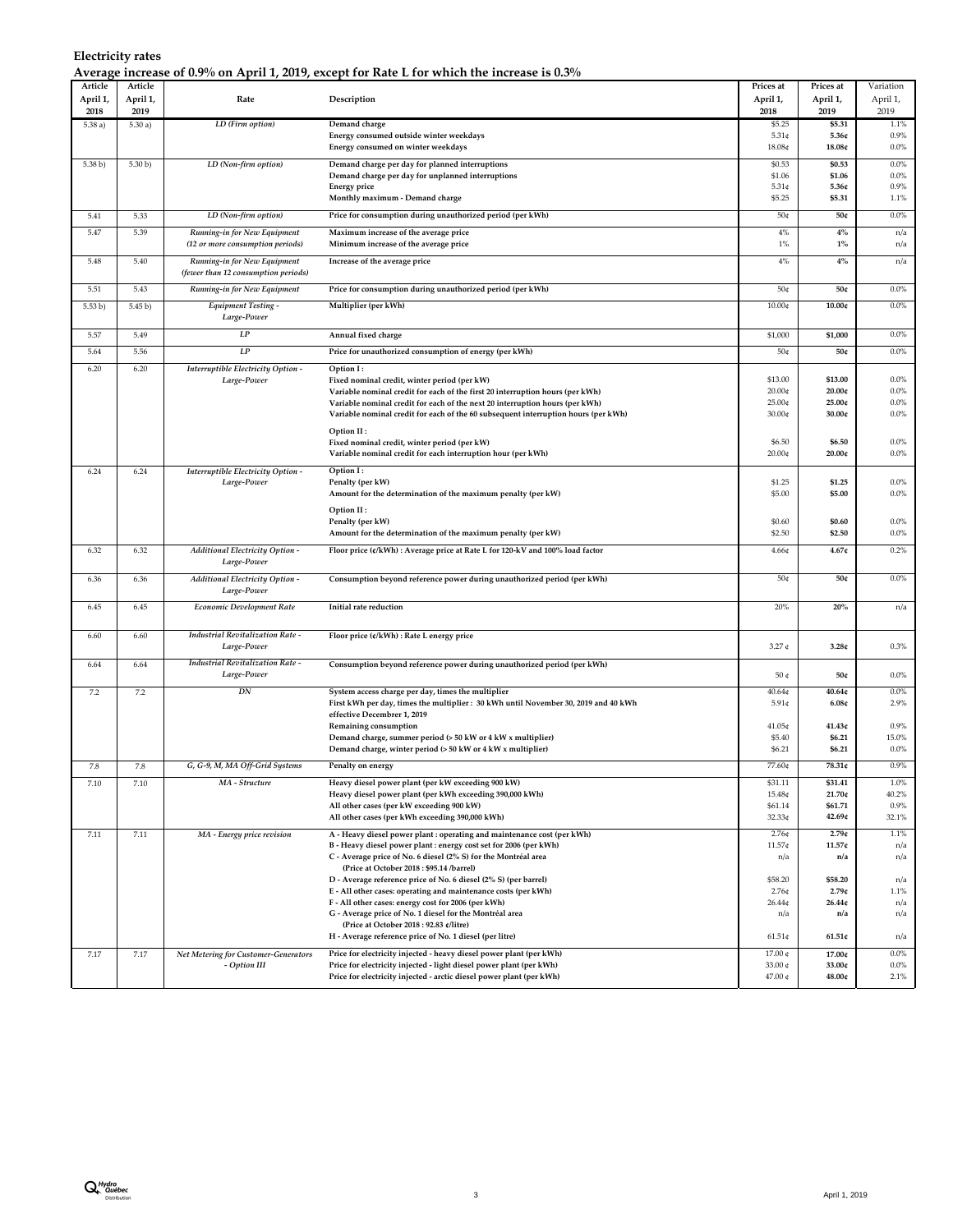| Electricity rates                                                                           |  |  |
|---------------------------------------------------------------------------------------------|--|--|
| Average increase of 0.9% on April 1, 2019, except for Rate L for which the increase is 0.3% |  |  |

| Article  | Article  | $-7 - 0 - 7$                            |                                                                                                                                               | Prices at           | Prices at        | Variation        |
|----------|----------|-----------------------------------------|-----------------------------------------------------------------------------------------------------------------------------------------------|---------------------|------------------|------------------|
| April 1, | April 1, | Rate                                    | Description                                                                                                                                   | April 1,            | April 1,         | April 1,         |
| 2018     | 2019     |                                         |                                                                                                                                               | 2018                | 2019             | 2019             |
| 5.38a)   | 5.30a)   | LD (Firm option)                        | Demand charge                                                                                                                                 | \$5.25              | \$5.31           | 1.1%             |
|          |          |                                         | Energy consumed outside winter weekdays                                                                                                       | $5.31$ ¢            | 5.36c            | 0.9%             |
|          |          |                                         | Energy consumed on winter weekdays                                                                                                            | 18.08¢              | 18.08¢           | $0.0\%$          |
|          |          |                                         |                                                                                                                                               |                     |                  |                  |
| 5.38 b)  | 5.30 b)  | LD (Non-firm option)                    | Demand charge per day for planned interruptions                                                                                               | \$0.53              | \$0.53<br>\$1.06 | 0.0%<br>0.0%     |
|          |          |                                         | Demand charge per day for unplanned interruptions<br><b>Energy price</b>                                                                      | \$1.06<br>$5.31$ ¢  | 5.36¢            | 0.9%             |
|          |          |                                         | Monthly maximum - Demand charge                                                                                                               | \$5.25              | \$5.31           | 1.1%             |
|          |          |                                         |                                                                                                                                               |                     |                  |                  |
| 5.41     | 5.33     | LD (Non-firm option)                    | Price for consumption during unauthorized period (per kWh)                                                                                    | 50¢                 | 50¢              | 0.0%             |
| 5.47     | 5.39     | Running-in for New Equipment            | Maximum increase of the average price                                                                                                         | $4\%$               | $4\%$            | n/a              |
|          |          | (12 or more consumption periods)        | Minimum increase of the average price                                                                                                         | $1\%$               | $1\%$            | n/a              |
| 5.48     | 5.40     | Running-in for New Equipment            | Increase of the average price                                                                                                                 | $4\%$               | $4\%$            | n/a              |
|          |          | (fewer than 12 consumption periods)     |                                                                                                                                               |                     |                  |                  |
|          |          |                                         |                                                                                                                                               |                     |                  |                  |
| 5.51     | 5.43     | Running-in for New Equipment            | Price for consumption during unauthorized period (per kWh)                                                                                    | 50¢                 | 50¢              | $0.0\%$          |
| 5.53 b)  | 5.45 b)  | <b>Equipment Testing -</b>              | Multiplier (per kWh)                                                                                                                          | 10.00¢              | 10.00c           | 0.0%             |
|          |          | Large-Power                             |                                                                                                                                               |                     |                  |                  |
| 5.57     | 5.49     | LP                                      | Annual fixed charge                                                                                                                           | \$1,000             | \$1,000          | 0.0%             |
| 5.64     | 5.56     | LP                                      | Price for unauthorized consumption of energy (per kWh)                                                                                        | 50¢                 | 50¢              | 0.0%             |
|          |          |                                         |                                                                                                                                               |                     |                  |                  |
| 6.20     | 6.20     | Interruptible Electricity Option -      | Option I:                                                                                                                                     |                     |                  |                  |
|          |          | Large-Power                             | Fixed nominal credit, winter period (per kW)                                                                                                  | \$13.00             | \$13.00          | $0.0\%$          |
|          |          |                                         | Variable nominal credit for each of the first 20 interruption hours (per kWh)                                                                 | 20.00¢              | 20.00c           | 0.0%             |
|          |          |                                         | Variable nominal credit for each of the next 20 interruption hours (per kWh)                                                                  | 25.00¢              | 25.00¢           | $0.0\%$          |
|          |          |                                         | Variable nominal credit for each of the 60 subsequent interruption hours (per kWh)                                                            | 30.00¢              | 30.00c           | 0.0%             |
|          |          |                                         | Option II:                                                                                                                                    |                     |                  |                  |
|          |          |                                         | Fixed nominal credit, winter period (per kW)                                                                                                  | \$6.50              | \$6.50           | $0.0\%$          |
|          |          |                                         | Variable nominal credit for each interruption hour (per kWh)                                                                                  | 20.00¢              | 20.00c           | 0.0%             |
| 6.24     | 6.24     | Interruptible Electricity Option -      | Option I:                                                                                                                                     |                     |                  |                  |
|          |          | Large-Power                             | Penalty (per kW)                                                                                                                              | \$1.25              | \$1.25           | 0.0%             |
|          |          |                                         | Amount for the determination of the maximum penalty (per kW)                                                                                  | \$5.00              | \$5.00           | 0.0%             |
|          |          |                                         | Option II:                                                                                                                                    |                     |                  |                  |
|          |          |                                         | Penalty (per kW)                                                                                                                              | \$0.60              | \$0.60           | 0.0%             |
|          |          |                                         | Amount for the determination of the maximum penalty (per kW)                                                                                  | \$2.50              | \$2.50           | $0.0\%$          |
|          |          |                                         |                                                                                                                                               |                     |                  |                  |
| 6.32     | 6.32     | <b>Additional Electricity Option -</b>  | Floor price (¢/kWh) : Average price at Rate L for 120-kV and 100% load factor                                                                 | 4.66¢               | 4.67c            | 0.2%             |
|          |          | Large-Power                             |                                                                                                                                               |                     |                  |                  |
| 6.36     | 6.36     | <b>Additional Electricity Option -</b>  | Consumption beyond reference power during unauthorized period (per kWh)                                                                       | 50¢                 | 50¢              | $0.0\%$          |
|          |          | Large-Power                             |                                                                                                                                               |                     |                  |                  |
| 6.45     | 6.45     | <b>Economic Development Rate</b>        | Initial rate reduction                                                                                                                        | 20%                 | 20%              | n/a              |
|          |          |                                         |                                                                                                                                               |                     |                  |                  |
| 6.60     | 6.60     | <b>Industrial Revitalization Rate -</b> | Floor price (¢/kWh) : Rate L energy price                                                                                                     |                     |                  |                  |
|          |          | Large-Power                             |                                                                                                                                               | $3.27 \text{ } \in$ | 3.28c            | 0.3%             |
|          |          | <b>Industrial Revitalization Rate -</b> |                                                                                                                                               |                     |                  |                  |
| 6.64     | 6.64     | Large-Power                             | Consumption beyond reference power during unauthorized period (per kWh)                                                                       | 50 ¢                | 50¢              | $0.0\%$          |
|          |          |                                         |                                                                                                                                               |                     |                  |                  |
| 7.2      | 7.2      | DN                                      | System access charge per day, times the multiplier                                                                                            | 40.64 <sub>¢</sub>  | 40.64c           | 0.0%             |
|          |          |                                         | First kWh per day, times the multiplier : 30 kWh until November 30, 2019 and 40 kWh                                                           | $5.91$ ¢            | 6.08c            | 2.9%             |
|          |          |                                         | effective Decembrer 1, 2019                                                                                                                   |                     |                  |                  |
|          |          |                                         | Remaining consumption                                                                                                                         | 41.05¢              | 41.43¢           | 0.9%             |
|          |          |                                         | Demand charge, summer period (> 50 kW or 4 kW x multiplier)<br>Demand charge, winter period $(> 50 \text{ kW or } 4 \text{ kW x multiplier})$ | \$5.40<br>\$6.21    | \$6.21<br>\$6.21 | 15.0%<br>$0.0\%$ |
|          |          |                                         |                                                                                                                                               |                     |                  |                  |
| 7.8      | 7.8      | G, G-9, M, MA Off-Grid Systems          | Penalty on energy                                                                                                                             | 77.60¢              | 78.31¢           | 0.9%             |
| 7.10     | 7.10     | MA - Structure                          | Heavy diesel power plant (per kW exceeding 900 kW)                                                                                            | \$31.11             | \$31.41          | 1.0%             |
|          |          |                                         | Heavy diesel power plant (per kWh exceeding 390,000 kWh)                                                                                      | 15.48¢              | 21.70¢           | 40.2%            |
|          |          |                                         | All other cases (per kW exceeding 900 kW)                                                                                                     | \$61.14             | \$61.71          | 0.9%             |
|          |          |                                         | All other cases (per kWh exceeding 390,000 kWh)                                                                                               | 32.33¢              | 42.69¢           | 32.1%            |
| 7.11     | 7.11     | MA - Energy price revision              | A - Heavy diesel power plant : operating and maintenance cost (per kWh)                                                                       | $2.76$ ¢            | 2.79c            | 1.1%             |
|          |          |                                         | B - Heavy diesel power plant : energy cost set for 2006 (per kWh)                                                                             | 11.57¢              | 11.57¢           | n/a              |
|          |          |                                         | C - Average price of No. 6 diesel (2% S) for the Montréal area                                                                                | n/a                 | n/a              | n/a              |
|          |          |                                         | (Price at October 2018: \$95.14 /barrel)                                                                                                      |                     |                  |                  |
|          |          |                                         | D - Average reference price of No. 6 diesel (2% S) (per barrel)                                                                               | \$58.20             | \$58.20          | n/a              |
|          |          |                                         | E - All other cases: operating and maintenance costs (per kWh)                                                                                | $2.76$ ¢            | 2.79c            | 1.1%             |
|          |          |                                         | F - All other cases: energy cost for 2006 (per kWh)                                                                                           | 26.44¢              | 26.44c           | n/a              |
|          |          |                                         | G - Average price of No. 1 diesel for the Montréal area                                                                                       | n/a                 | n/a              | n/a              |
|          |          |                                         | (Price at October 2018 : 92.83 ¢/litre)<br>H - Average reference price of No. 1 diesel (per litre)                                            |                     |                  |                  |
|          |          |                                         |                                                                                                                                               | $61.51$ ¢           | 61.51c           | n/a              |
| 7.17     | 7.17     | Net Metering for Customer-Generators    | Price for electricity injected - heavy diesel power plant (per kWh)                                                                           | 17.00 ¢             | 17.00¢           | 0.0%             |
|          |          | - Option III                            | Price for electricity injected - light diesel power plant (per kWh)                                                                           | 33.00 ¢             | 33.00¢           | $0.0\%$          |
|          |          |                                         | Price for electricity injected - arctic diesel power plant (per kWh)                                                                          | 47.00 ¢             | $48.00c$         | 2.1%             |